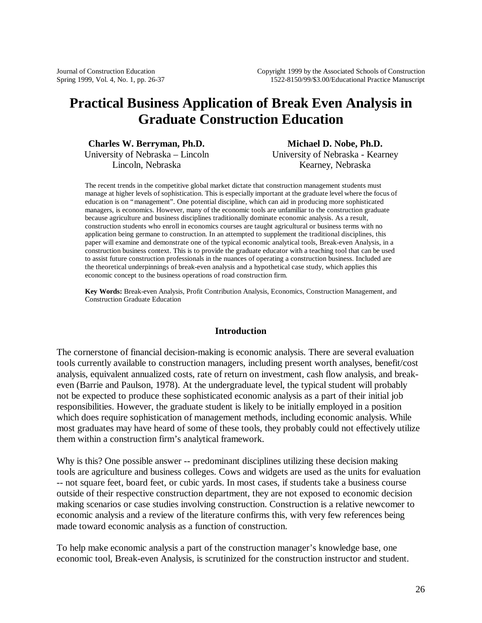# **Practical Business Application of Break Even Analysis in Graduate Construction Education**

**Charles W. Berryman, Ph.D.** University of Nebraska – Lincoln Lincoln, Nebraska

**Michael D. Nobe, Ph.D.** University of Nebraska - Kearney Kearney, Nebraska

The recent trends in the competitive global market dictate that construction management students must manage at higher levels of sophistication. This is especially important at the graduate level where the focus of education is on "management". One potential discipline, which can aid in producing more sophisticated managers, is economics. However, many of the economic tools are unfamiliar to the construction graduate because agriculture and business disciplines traditionally dominate economic analysis. As a result, construction students who enroll in economics courses are taught agricultural or business terms with no application being germane to construction. In an attempted to supplement the traditional disciplines, this paper will examine and demonstrate one of the typical economic analytical tools, Break-even Analysis, in a construction business context. This is to provide the graduate educator with a teaching tool that can be used to assist future construction professionals in the nuances of operating a construction business. Included are the theoretical underpinnings of break-even analysis and a hypothetical case study, which applies this economic concept to the business operations of road construction firm.

**Key Words:** Break-even Analysis, Profit Contribution Analysis, Economics, Construction Management, and Construction Graduate Education

#### **Introduction**

The cornerstone of financial decision-making is economic analysis. There are several evaluation tools currently available to construction managers, including present worth analyses, benefit/cost analysis, equivalent annualized costs, rate of return on investment, cash flow analysis, and breakeven (Barrie and Paulson, 1978). At the undergraduate level, the typical student will probably not be expected to produce these sophisticated economic analysis as a part of their initial job responsibilities. However, the graduate student is likely to be initially employed in a position which does require sophistication of management methods, including economic analysis. While most graduates may have heard of some of these tools, they probably could not effectively utilize them within a construction firm's analytical framework.

Why is this? One possible answer -- predominant disciplines utilizing these decision making tools are agriculture and business colleges. Cows and widgets are used as the units for evaluation -- not square feet, board feet, or cubic yards. In most cases, if students take a business course outside of their respective construction department, they are not exposed to economic decision making scenarios or case studies involving construction. Construction is a relative newcomer to economic analysis and a review of the literature confirms this, with very few references being made toward economic analysis as a function of construction.

To help make economic analysis a part of the construction manager's knowledge base, one economic tool, Break-even Analysis, is scrutinized for the construction instructor and student.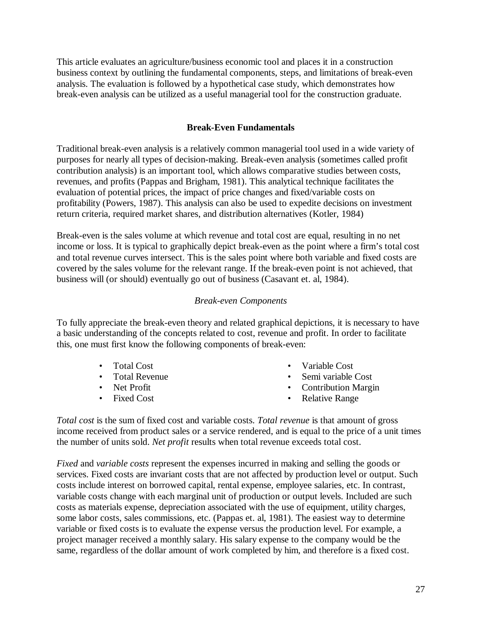This article evaluates an agriculture/business economic tool and places it in a construction business context by outlining the fundamental components, steps, and limitations of break-even analysis. The evaluation is followed by a hypothetical case study, which demonstrates how break-even analysis can be utilized as a useful managerial tool for the construction graduate.

### **Break-Even Fundamentals**

Traditional break-even analysis is a relatively common managerial tool used in a wide variety of purposes for nearly all types of decision-making. Break-even analysis (sometimes called profit contribution analysis) is an important tool, which allows comparative studies between costs, revenues, and profits (Pappas and Brigham, 1981). This analytical technique facilitates the evaluation of potential prices, the impact of price changes and fixed/variable costs on profitability (Powers, 1987). This analysis can also be used to expedite decisions on investment return criteria, required market shares, and distribution alternatives (Kotler, 1984)

Break-even is the sales volume at which revenue and total cost are equal, resulting in no net income or loss. It is typical to graphically depict break-even as the point where a firm's total cost and total revenue curves intersect. This is the sales point where both variable and fixed costs are covered by the sales volume for the relevant range. If the break-even point is not achieved, that business will (or should) eventually go out of business (Casavant et. al, 1984).

#### *Break-even Components*

To fully appreciate the break-even theory and related graphical depictions, it is necessary to have a basic understanding of the concepts related to cost, revenue and profit. In order to facilitate this, one must first know the following components of break-even:

- Total Cost
- Total Revenue
- Net Profit
- Fixed Cost
- Variable Cost
- Semi variable Cost
- Contribution Margin
- Relative Range

*Total cost* is the sum of fixed cost and variable costs. *Total revenue* is that amount of gross income received from product sales or a service rendered, and is equal to the price of a unit times the number of units sold. *Net profit* results when total revenue exceeds total cost.

*Fixed* and *variable costs* represent the expenses incurred in making and selling the goods or services. Fixed costs are invariant costs that are not affected by production level or output. Such costs include interest on borrowed capital, rental expense, employee salaries, etc. In contrast, variable costs change with each marginal unit of production or output levels. Included are such costs as materials expense, depreciation associated with the use of equipment, utility charges, some labor costs, sales commissions, etc. (Pappas et. al, 1981). The easiest way to determine variable or fixed costs is to evaluate the expense versus the production level. For example, a project manager received a monthly salary. His salary expense to the company would be the same, regardless of the dollar amount of work completed by him, and therefore is a fixed cost.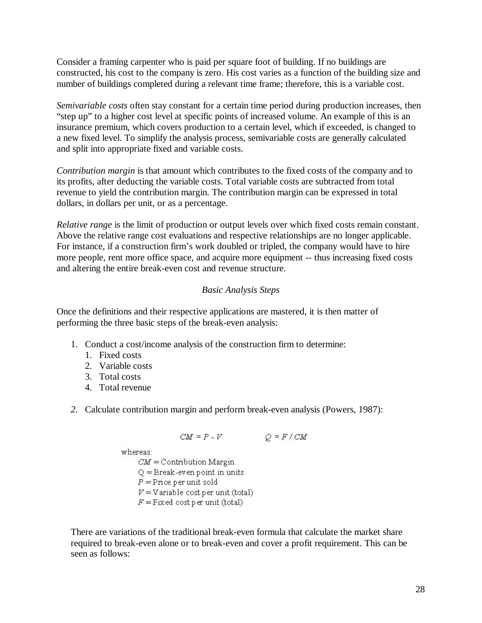Consider a framing carpenter who is paid per square foot of building. If no buildings are constructed, his cost to the company is zero. His cost varies as a function of the building size and number of buildings completed during a relevant time frame; therefore, this is a variable cost.

*Semivariable costs* often stay constant for a certain time period during production increases, then "step up" to a higher cost level at specific points of increased volume. An example of this is an insurance premium, which covers production to a certain level, which if exceeded, is changed to a new fixed level. To simplify the analysis process, semivariable costs are generally calculated and split into appropriate fixed and variable costs.

*Contribution margin* is that amount which contributes to the fixed costs of the company and to its profits, after deducting the variable costs. Total variable costs are subtracted from total revenue to yield the contribution margin. The contribution margin can be expressed in total dollars, in dollars per unit, or as a percentage.

*Relative range* is the limit of production or output levels over which fixed costs remain constant. Above the relative range cost evaluations and respective relationships are no longer applicable. For instance, if a construction firm's work doubled or tripled, the company would have to hire more people, rent more office space, and acquire more equipment -- thus increasing fixed costs and altering the entire break-even cost and revenue structure.

## *Basic Analysis Steps*

Once the definitions and their respective applications are mastered, it is then matter of performing the three basic steps of the break-even analysis:

- 1. Conduct a cost/income analysis of the construction firm to determine:
	- 1. Fixed costs
	- 2. Variable costs
	- 3. Total costs
	- 4. Total revenue
- *2.* Calculate contribution margin and perform break-even analysis (Powers, 1987):

$$
CM = P - V \qquad Q = F / CM
$$

whereas:

 $CM =$ Contribution Margin  $Q =$ Break-even point in units  $P =$ Price per unit sold  $V =$ Variable cost per unit (total)  $F =$ Fixed cost per unit (total)

There are variations of the traditional break-even formula that calculate the market share required to break-even alone or to break-even and cover a profit requirement. This can be seen as follows: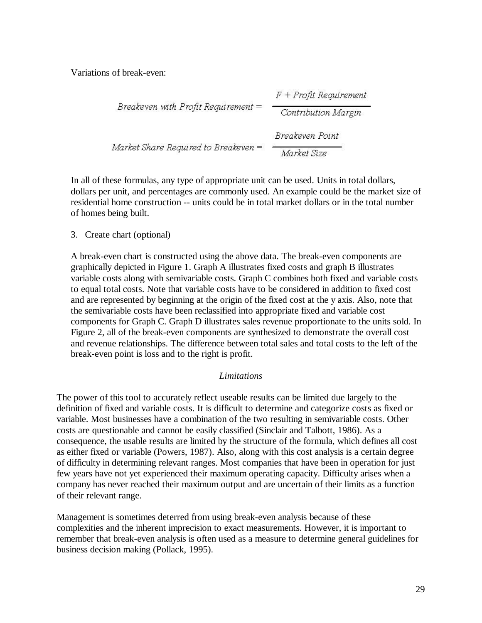Variations of break-even:

|                                        | $F + Profit$ Requirement |  |  |
|----------------------------------------|--------------------------|--|--|
| Breakeven with Profit Requirement $=$  | Contribution Margin      |  |  |
|                                        | Breakeven Point          |  |  |
| Market Share Required to Breakeven $=$ | Market Size              |  |  |

In all of these formulas, any type of appropriate unit can be used. Units in total dollars, dollars per unit, and percentages are commonly used. An example could be the market size of residential home construction -- units could be in total market dollars or in the total number of homes being built.

3. Create chart (optional)

A break-even chart is constructed using the above data. The break-even components are graphically depicted in Figure 1. Graph A illustrates fixed costs and graph B illustrates variable costs along with semivariable costs. Graph C combines both fixed and variable costs to equal total costs. Note that variable costs have to be considered in addition to fixed cost and are represented by beginning at the origin of the fixed cost at the y axis. Also, note that the semivariable costs have been reclassified into appropriate fixed and variable cost components for Graph C. Graph D illustrates sales revenue proportionate to the units sold. In Figure 2, all of the break-even components are synthesized to demonstrate the overall cost and revenue relationships. The difference between total sales and total costs to the left of the break-even point is loss and to the right is profit.

## *Limitations*

The power of this tool to accurately reflect useable results can be limited due largely to the definition of fixed and variable costs. It is difficult to determine and categorize costs as fixed or variable. Most businesses have a combination of the two resulting in semivariable costs. Other costs are questionable and cannot be easily classified (Sinclair and Talbott, 1986). As a consequence, the usable results are limited by the structure of the formula, which defines all cost as either fixed or variable (Powers, 1987). Also, along with this cost analysis is a certain degree of difficulty in determining relevant ranges. Most companies that have been in operation for just few years have not yet experienced their maximum operating capacity. Difficulty arises when a company has never reached their maximum output and are uncertain of their limits as a function of their relevant range.

Management is sometimes deterred from using break-even analysis because of these complexities and the inherent imprecision to exact measurements. However, it is important to remember that break-even analysis is often used as a measure to determine general guidelines for business decision making (Pollack, 1995).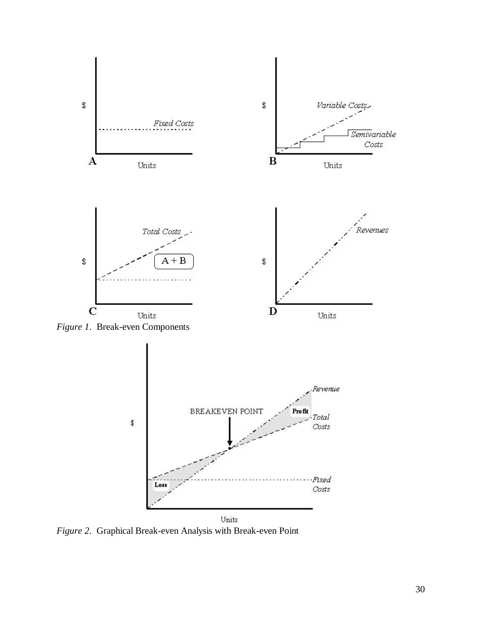

*Figure 2*. Graphical Break-even Analysis with Break-even Point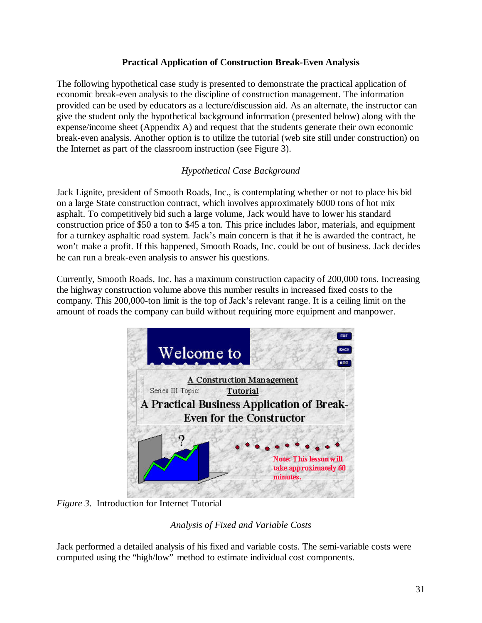## **Practical Application of Construction Break-Even Analysis**

The following hypothetical case study is presented to demonstrate the practical application of economic break-even analysis to the discipline of construction management. The information provided can be used by educators as a lecture/discussion aid. As an alternate, the instructor can give the student only the hypothetical background information (presented below) along with the expense/income sheet (Appendix A) and request that the students generate their own economic break-even analysis. Another option is to utilize the tutorial (web site still under construction) on the Internet as part of the classroom instruction (see Figure 3).

## *Hypothetical Case Background*

Jack Lignite, president of Smooth Roads, Inc., is contemplating whether or not to place his bid on a large State construction contract, which involves approximately 6000 tons of hot mix asphalt. To competitively bid such a large volume, Jack would have to lower his standard construction price of \$50 a ton to \$45 a ton. This price includes labor, materials, and equipment for a turnkey asphaltic road system. Jack's main concern is that if he is awarded the contract, he won't make a profit. If this happened, Smooth Roads, Inc. could be out of business. Jack decides he can run a break-even analysis to answer his questions.

Currently, Smooth Roads, Inc. has a maximum construction capacity of 200,000 tons. Increasing the highway construction volume above this number results in increased fixed costs to the company. This 200,000-ton limit is the top of Jack's relevant range. It is a ceiling limit on the amount of roads the company can build without requiring more equipment and manpower.



*Figure 3*. Introduction for Internet Tutorial

## *Analysis of Fixed and Variable Costs*

Jack performed a detailed analysis of his fixed and variable costs. The semi-variable costs were computed using the "high/low" method to estimate individual cost components.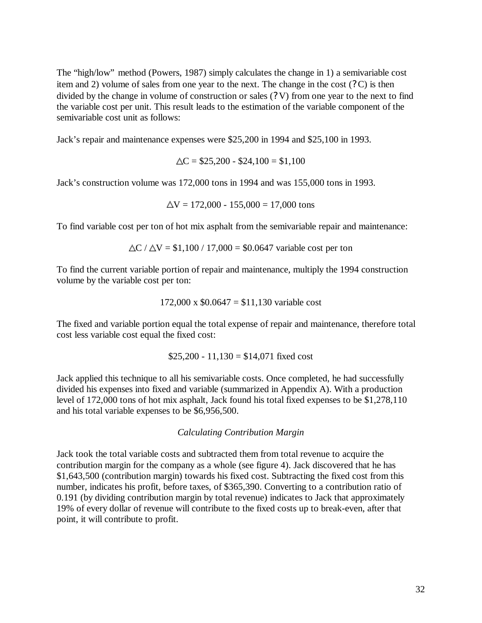The "high/low" method (Powers, 1987) simply calculates the change in 1) a semivariable cost item and 2) volume of sales from one year to the next. The change in the cost  $(2C)$  is then divided by the change in volume of construction or sales (? V) from one year to the next to find the variable cost per unit. This result leads to the estimation of the variable component of the semivariable cost unit as follows:

Jack's repair and maintenance expenses were \$25,200 in 1994 and \$25,100 in 1993.

$$
\Delta C = $25,200 - $24,100 = $1,100
$$

Jack's construction volume was 172,000 tons in 1994 and was 155,000 tons in 1993.

$$
\Delta V = 172,000 - 155,000 = 17,000
$$
 tons

To find variable cost per ton of hot mix asphalt from the semivariable repair and maintenance:

 $\Delta C / \Delta V = $1,100 / 17,000 = $0.0647$  variable cost per ton

To find the current variable portion of repair and maintenance, multiply the 1994 construction volume by the variable cost per ton:

$$
172,000 \times $0.0647 = $11,130
$$
 variable cost

The fixed and variable portion equal the total expense of repair and maintenance, therefore total cost less variable cost equal the fixed cost:

$$
$25,200 - 11,130 = $14,071
$$
 fixed cost

Jack applied this technique to all his semivariable costs. Once completed, he had successfully divided his expenses into fixed and variable (summarized in Appendix A). With a production level of 172,000 tons of hot mix asphalt, Jack found his total fixed expenses to be \$1,278,110 and his total variable expenses to be \$6,956,500.

#### *Calculating Contribution Margin*

Jack took the total variable costs and subtracted them from total revenue to acquire the contribution margin for the company as a whole (see figure 4). Jack discovered that he has \$1,643,500 (contribution margin) towards his fixed cost. Subtracting the fixed cost from this number, indicates his profit, before taxes, of \$365,390. Converting to a contribution ratio of 0.191 (by dividing contribution margin by total revenue) indicates to Jack that approximately 19% of every dollar of revenue will contribute to the fixed costs up to break-even, after that point, it will contribute to profit.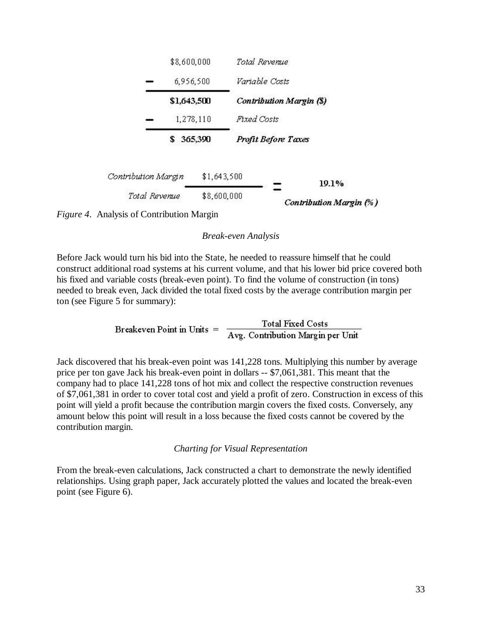|                | \$8,600,000 | Total Revenue                   |  |  |
|----------------|-------------|---------------------------------|--|--|
|                | 6,956,500   | Variable Costs                  |  |  |
|                | \$1,643,500 | <b>Contribution Margin (\$)</b> |  |  |
| $\blacksquare$ | 1,278,110   | Fixed Costs                     |  |  |
|                | 365,390     | Profit Before Taxes             |  |  |

| Contribution Margin | \$1,643,500 | 19.1%                   |  |
|---------------------|-------------|-------------------------|--|
| Total Revenue       | \$8,600,000 | Contribution Margin (%) |  |



#### *Break-even Analysis*

Before Jack would turn his bid into the State, he needed to reassure himself that he could construct additional road systems at his current volume, and that his lower bid price covered both his fixed and variable costs (break-even point). To find the volume of construction (in tons) needed to break even, Jack divided the total fixed costs by the average contribution margin per ton (see Figure 5 for summary):

Breakeven Point in Units =  $\frac{\text{Total Fixed Costs}}{\text{Avg. Contribution Margin per Unit}}$ 

Jack discovered that his break-even point was 141,228 tons. Multiplying this number by average price per ton gave Jack his break-even point in dollars -- \$7,061,381. This meant that the company had to place 141,228 tons of hot mix and collect the respective construction revenues of \$7,061,381 in order to cover total cost and yield a profit of zero. Construction in excess of this point will yield a profit because the contribution margin covers the fixed costs. Conversely, any amount below this point will result in a loss because the fixed costs cannot be covered by the contribution margin.

#### *Charting for Visual Representation*

From the break-even calculations, Jack constructed a chart to demonstrate the newly identified relationships. Using graph paper, Jack accurately plotted the values and located the break-even point (see Figure 6).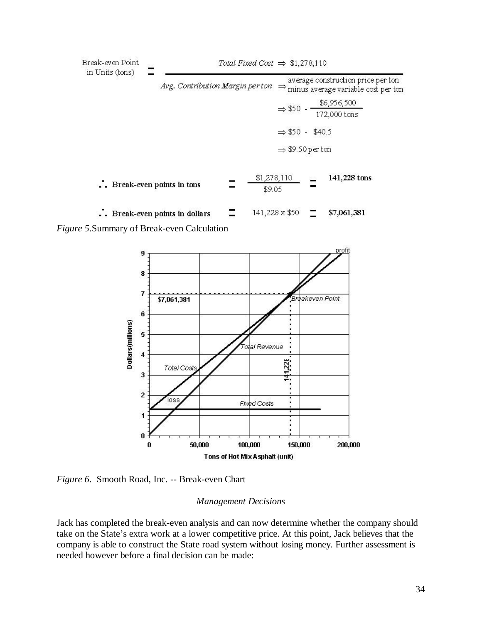

*Figure 5*.Summary of Break-even Calculation



*Figure 6*. Smooth Road, Inc. -- Break-even Chart

#### *Management Decisions*

Jack has completed the break-even analysis and can now determine whether the company should take on the State's extra work at a lower competitive price. At this point, Jack believes that the company is able to construct the State road system without losing money. Further assessment is needed however before a final decision can be made: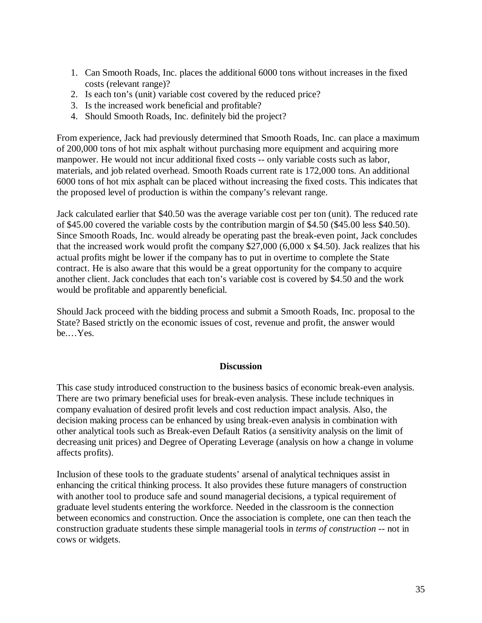- 1. Can Smooth Roads, Inc. places the additional 6000 tons without increases in the fixed costs (relevant range)?
- 2. Is each ton's (unit) variable cost covered by the reduced price?
- 3. Is the increased work beneficial and profitable?
- 4. Should Smooth Roads, Inc. definitely bid the project?

From experience, Jack had previously determined that Smooth Roads, Inc. can place a maximum of 200,000 tons of hot mix asphalt without purchasing more equipment and acquiring more manpower. He would not incur additional fixed costs -- only variable costs such as labor, materials, and job related overhead. Smooth Roads current rate is 172,000 tons. An additional 6000 tons of hot mix asphalt can be placed without increasing the fixed costs. This indicates that the proposed level of production is within the company's relevant range.

Jack calculated earlier that \$40.50 was the average variable cost per ton (unit). The reduced rate of \$45.00 covered the variable costs by the contribution margin of \$4.50 (\$45.00 less \$40.50). Since Smooth Roads, Inc. would already be operating past the break-even point, Jack concludes that the increased work would profit the company \$27,000 (6,000 x \$4.50). Jack realizes that his actual profits might be lower if the company has to put in overtime to complete the State contract. He is also aware that this would be a great opportunity for the company to acquire another client. Jack concludes that each ton's variable cost is covered by \$4.50 and the work would be profitable and apparently beneficial.

Should Jack proceed with the bidding process and submit a Smooth Roads, Inc. proposal to the State? Based strictly on the economic issues of cost, revenue and profit, the answer would be.… Yes.

#### **Discussion**

This case study introduced construction to the business basics of economic break-even analysis. There are two primary beneficial uses for break-even analysis. These include techniques in company evaluation of desired profit levels and cost reduction impact analysis. Also, the decision making process can be enhanced by using break-even analysis in combination with other analytical tools such as Break-even Default Ratios (a sensitivity analysis on the limit of decreasing unit prices) and Degree of Operating Leverage (analysis on how a change in volume affects profits).

Inclusion of these tools to the graduate students' arsenal of analytical techniques assist in enhancing the critical thinking process. It also provides these future managers of construction with another tool to produce safe and sound managerial decisions, a typical requirement of graduate level students entering the workforce. Needed in the classroom is the connection between economics and construction. Once the association is complete, one can then teach the construction graduate students these simple managerial tools in *terms of construction* -- not in cows or widgets.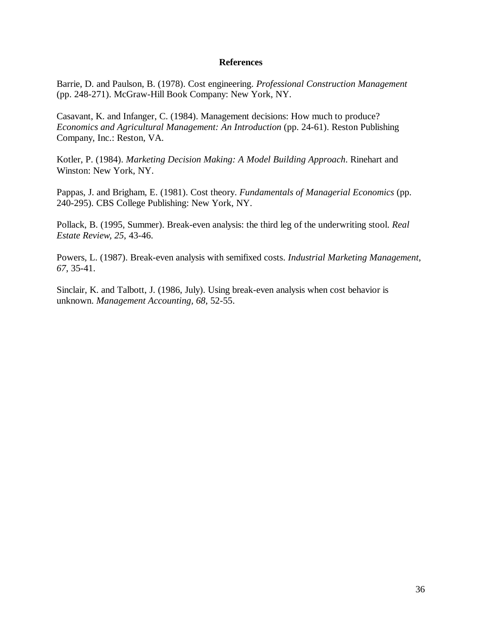#### **References**

Barrie, D. and Paulson, B. (1978). Cost engineering. *Professional Construction Management* (pp. 248-271). McGraw-Hill Book Company: New York, NY.

Casavant, K. and Infanger, C. (1984). Management decisions: How much to produce? *Economics and Agricultural Management: An Introduction* (pp. 24-61). Reston Publishing Company, Inc.: Reston, VA.

Kotler, P. (1984). *Marketing Decision Making: A Model Building Approach*. Rinehart and Winston: New York, NY.

Pappas, J. and Brigham, E. (1981). Cost theory. *Fundamentals of Managerial Economics* (pp. 240-295). CBS College Publishing: New York, NY.

Pollack, B. (1995, Summer). Break-even analysis: the third leg of the underwriting stool. *Real Estate Review, 25*, 43-46.

Powers, L. (1987). Break-even analysis with semifixed costs. *Industrial Marketing Management*, *67*, 35-41.

Sinclair, K. and Talbott, J. (1986, July). Using break-even analysis when cost behavior is unknown. *Management Accounting, 68*, 52-55.